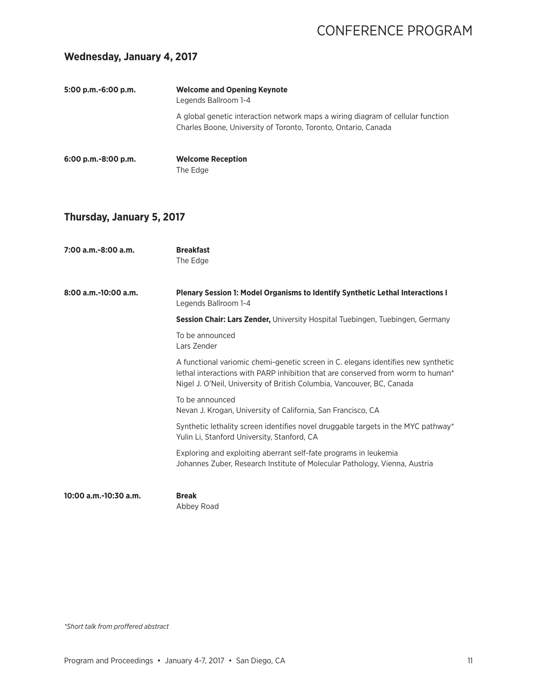#### **Wednesday, January 4, 2017**

| 5:00 p.m.-6:00 p.m. | <b>Welcome and Opening Keynote</b><br>Legends Ballroom 1-4                                                                                        |
|---------------------|---------------------------------------------------------------------------------------------------------------------------------------------------|
|                     | A global genetic interaction network maps a wiring diagram of cellular function<br>Charles Boone, University of Toronto, Toronto, Ontario, Canada |
| 6:00 p.m.-8:00 p.m. | <b>Welcome Reception</b><br>The Edge                                                                                                              |

### **Thursday, January 5, 2017**

| $7:00$ a.m.-8:00 a.m.  | <b>Breakfast</b><br>The Edge                                                                                                                                                                                                                   |
|------------------------|------------------------------------------------------------------------------------------------------------------------------------------------------------------------------------------------------------------------------------------------|
| $8:00$ a.m.-10:00 a.m. | Plenary Session 1: Model Organisms to Identify Synthetic Lethal Interactions I<br>Legends Ballroom 1-4                                                                                                                                         |
|                        | <b>Session Chair: Lars Zender,</b> University Hospital Tuebingen, Tuebingen, Germany                                                                                                                                                           |
|                        | To be announced<br>Lars Zender                                                                                                                                                                                                                 |
|                        | A functional variomic chemi-genetic screen in C. elegans identifies new synthetic<br>lethal interactions with PARP inhibition that are conserved from worm to human*<br>Nigel J. O'Neil, University of British Columbia, Vancouver, BC, Canada |
|                        | To be announced<br>Nevan J. Krogan, University of California, San Francisco, CA                                                                                                                                                                |
|                        | Synthetic lethality screen identifies novel druggable targets in the MYC pathway*<br>Yulin Li, Stanford University, Stanford, CA                                                                                                               |
|                        | Exploring and exploiting aberrant self-fate programs in leukemia<br>Johannes Zuber, Research Institute of Molecular Pathology, Vienna, Austria                                                                                                 |
| 10:00 a.m.-10:30 a.m.  | <b>Break</b><br>Abbey Road                                                                                                                                                                                                                     |

*\*Short talk from proffered abstract*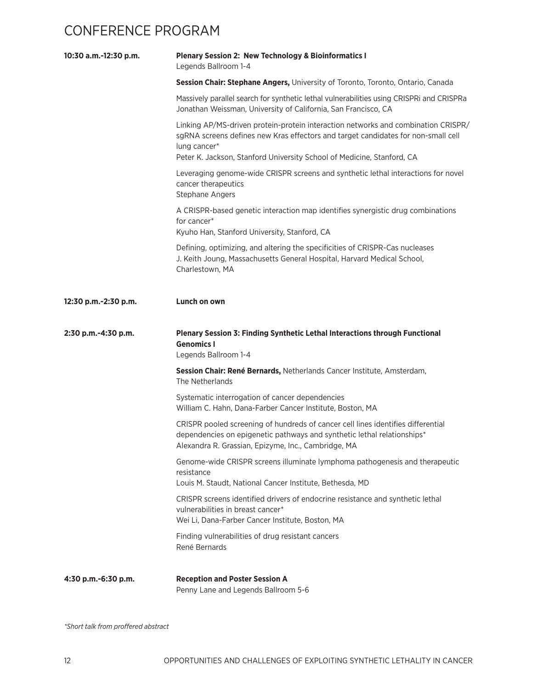| 10:30 a.m.-12:30 p.m. | <b>Plenary Session 2: New Technology &amp; Bioinformatics I</b><br>Legends Ballroom 1-4                                                                                                                                                                          |
|-----------------------|------------------------------------------------------------------------------------------------------------------------------------------------------------------------------------------------------------------------------------------------------------------|
|                       | Session Chair: Stephane Angers, University of Toronto, Toronto, Ontario, Canada                                                                                                                                                                                  |
|                       | Massively parallel search for synthetic lethal vulnerabilities using CRISPRi and CRISPRa<br>Jonathan Weissman, University of California, San Francisco, CA                                                                                                       |
|                       | Linking AP/MS-driven protein-protein interaction networks and combination CRISPR/<br>sgRNA screens defines new Kras effectors and target candidates for non-small cell<br>lung cancer*<br>Peter K. Jackson, Stanford University School of Medicine, Stanford, CA |
|                       | Leveraging genome-wide CRISPR screens and synthetic lethal interactions for novel<br>cancer therapeutics<br><b>Stephane Angers</b>                                                                                                                               |
|                       | A CRISPR-based genetic interaction map identifies synergistic drug combinations<br>for cancer*<br>Kyuho Han, Stanford University, Stanford, CA                                                                                                                   |
|                       | Defining, optimizing, and altering the specificities of CRISPR-Cas nucleases<br>J. Keith Joung, Massachusetts General Hospital, Harvard Medical School,<br>Charlestown, MA                                                                                       |
| 12:30 p.m.-2:30 p.m.  | Lunch on own                                                                                                                                                                                                                                                     |
|                       |                                                                                                                                                                                                                                                                  |
| 2:30 p.m.-4:30 p.m.   | <b>Plenary Session 3: Finding Synthetic Lethal Interactions through Functional</b><br><b>Genomics I</b><br>Legends Ballroom 1-4                                                                                                                                  |
|                       | Session Chair: René Bernards, Netherlands Cancer Institute, Amsterdam,<br>The Netherlands                                                                                                                                                                        |
|                       | Systematic interrogation of cancer dependencies<br>William C. Hahn, Dana-Farber Cancer Institute, Boston, MA                                                                                                                                                     |
|                       | CRISPR pooled screening of hundreds of cancer cell lines identifies differential<br>dependencies on epigenetic pathways and synthetic lethal relationships*<br>Alexandra R. Grassian, Epizyme, Inc., Cambridge, MA                                               |
|                       | Genome-wide CRISPR screens illuminate lymphoma pathogenesis and therapeutic<br>resistance<br>Louis M. Staudt, National Cancer Institute, Bethesda, MD                                                                                                            |
|                       | CRISPR screens identified drivers of endocrine resistance and synthetic lethal<br>vulnerabilities in breast cancer*<br>Wei Li, Dana-Farber Cancer Institute, Boston, MA                                                                                          |
|                       | Finding vulnerabilities of drug resistant cancers<br>René Bernards                                                                                                                                                                                               |

*\*Short talk from proffered abstract*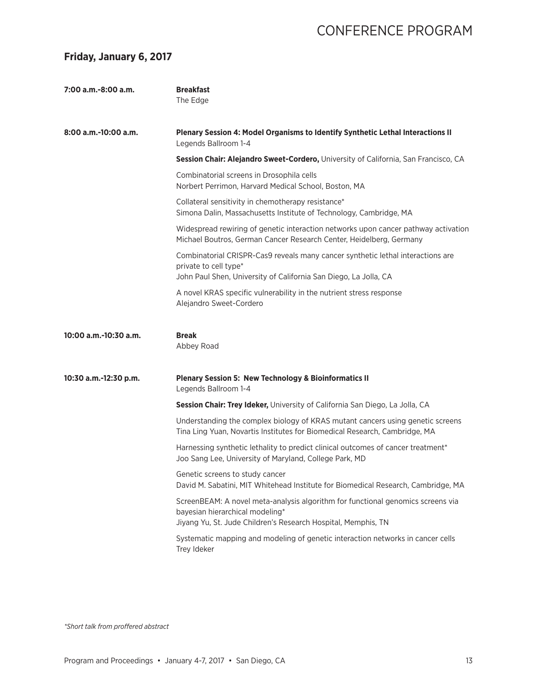#### **Friday, January 6, 2017**

| 7:00 a.m.-8:00 a.m.   | <b>Breakfast</b><br>The Edge                                                                                                                                                        |
|-----------------------|-------------------------------------------------------------------------------------------------------------------------------------------------------------------------------------|
| 8:00 a.m.-10:00 a.m.  | Plenary Session 4: Model Organisms to Identify Synthetic Lethal Interactions II<br>Legends Ballroom 1-4                                                                             |
|                       | Session Chair: Alejandro Sweet-Cordero, University of California, San Francisco, CA                                                                                                 |
|                       | Combinatorial screens in Drosophila cells<br>Norbert Perrimon, Harvard Medical School, Boston, MA                                                                                   |
|                       | Collateral sensitivity in chemotherapy resistance*<br>Simona Dalin, Massachusetts Institute of Technology, Cambridge, MA                                                            |
|                       | Widespread rewiring of genetic interaction networks upon cancer pathway activation<br>Michael Boutros, German Cancer Research Center, Heidelberg, Germany                           |
|                       | Combinatorial CRISPR-Cas9 reveals many cancer synthetic lethal interactions are<br>private to cell type*<br>John Paul Shen, University of California San Diego, La Jolla, CA        |
|                       | A novel KRAS specific vulnerability in the nutrient stress response<br>Alejandro Sweet-Cordero                                                                                      |
| 10:00 a.m.-10:30 a.m. | <b>Break</b><br>Abbey Road                                                                                                                                                          |
| 10:30 a.m.-12:30 p.m. | <b>Plenary Session 5: New Technology &amp; Bioinformatics II</b><br>Legends Ballroom 1-4                                                                                            |
|                       | Session Chair: Trey Ideker, University of California San Diego, La Jolla, CA                                                                                                        |
|                       | Understanding the complex biology of KRAS mutant cancers using genetic screens<br>Tina Ling Yuan, Novartis Institutes for Biomedical Research, Cambridge, MA                        |
|                       | Harnessing synthetic lethality to predict clinical outcomes of cancer treatment*<br>Joo Sang Lee, University of Maryland, College Park, MD                                          |
|                       | Genetic screens to study cancer<br>David M. Sabatini, MIT Whitehead Institute for Biomedical Research, Cambridge, MA                                                                |
|                       | ScreenBEAM: A novel meta-analysis algorithm for functional genomics screens via<br>bayesian hierarchical modeling*<br>Jiyang Yu, St. Jude Children's Research Hospital, Memphis, TN |
|                       |                                                                                                                                                                                     |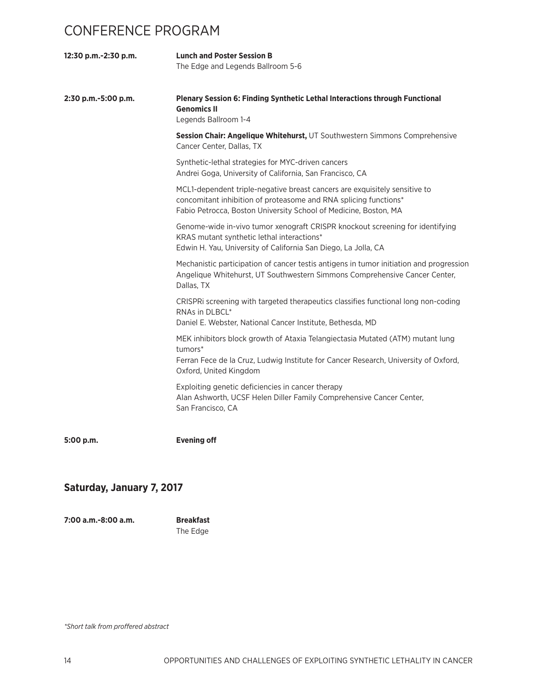| 12:30 p.m.-2:30 p.m. | <b>Lunch and Poster Session B</b><br>The Edge and Legends Ballroom 5-6                                                                                                                                             |
|----------------------|--------------------------------------------------------------------------------------------------------------------------------------------------------------------------------------------------------------------|
| 2:30 p.m.-5:00 p.m.  | Plenary Session 6: Finding Synthetic Lethal Interactions through Functional<br><b>Genomics II</b><br>Legends Ballroom 1-4                                                                                          |
|                      | Session Chair: Angelique Whitehurst, UT Southwestern Simmons Comprehensive<br>Cancer Center, Dallas, TX                                                                                                            |
|                      | Synthetic-lethal strategies for MYC-driven cancers<br>Andrei Goga, University of California, San Francisco, CA                                                                                                     |
|                      | MCL1-dependent triple-negative breast cancers are exquisitely sensitive to<br>concomitant inhibition of proteasome and RNA splicing functions*<br>Fabio Petrocca, Boston University School of Medicine, Boston, MA |
|                      | Genome-wide in-vivo tumor xenograft CRISPR knockout screening for identifying<br>KRAS mutant synthetic lethal interactions*<br>Edwin H. Yau, University of California San Diego, La Jolla, CA                      |
|                      | Mechanistic participation of cancer testis antigens in tumor initiation and progression<br>Angelique Whitehurst, UT Southwestern Simmons Comprehensive Cancer Center,<br>Dallas, TX                                |
|                      | CRISPRI screening with targeted therapeutics classifies functional long non-coding<br>RNAs in DLBCL*<br>Daniel E. Webster, National Cancer Institute, Bethesda, MD                                                 |
|                      | MEK inhibitors block growth of Ataxia Telangiectasia Mutated (ATM) mutant lung<br>tumors*<br>Ferran Fece de la Cruz, Ludwig Institute for Cancer Research, University of Oxford,<br>Oxford, United Kingdom         |
|                      | Exploiting genetic deficiencies in cancer therapy<br>Alan Ashworth, UCSF Helen Diller Family Comprehensive Cancer Center,<br>San Francisco, CA                                                                     |
| 5:00 p.m.            | <b>Evening off</b>                                                                                                                                                                                                 |

### **Saturday, January 7, 2017**

**7:00 a.m.-8:00 a.m. Breakfast**

The Edge

*\*Short talk from proffered abstract*